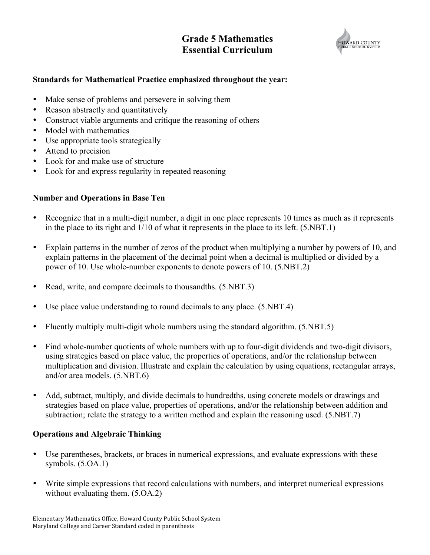# **Grade 5 Mathematics Essential Curriculum**



#### **Standards for Mathematical Practice emphasized throughout the year:**

- Make sense of problems and persevere in solving them
- Reason abstractly and quantitatively
- Construct viable arguments and critique the reasoning of others
- Model with mathematics
- Use appropriate tools strategically
- Attend to precision
- Look for and make use of structure
- Look for and express regularity in repeated reasoning

### **Number and Operations in Base Ten**

- Recognize that in a multi-digit number, a digit in one place represents 10 times as much as it represents in the place to its right and 1/10 of what it represents in the place to its left. (5.NBT.1)
- Explain patterns in the number of zeros of the product when multiplying a number by powers of 10, and explain patterns in the placement of the decimal point when a decimal is multiplied or divided by a power of 10. Use whole-number exponents to denote powers of 10. (5.NBT.2)
- Read, write, and compare decimals to thousandths.  $(5. \text{NBT}.3)$
- Use place value understanding to round decimals to any place. (5.NBT.4)
- Fluently multiply multi-digit whole numbers using the standard algorithm. (5.NBT.5)
- Find whole-number quotients of whole numbers with up to four-digit dividends and two-digit divisors, using strategies based on place value, the properties of operations, and/or the relationship between multiplication and division. Illustrate and explain the calculation by using equations, rectangular arrays, and/or area models. (5.NBT.6)
- Add, subtract, multiply, and divide decimals to hundredths, using concrete models or drawings and strategies based on place value, properties of operations, and/or the relationship between addition and subtraction; relate the strategy to a written method and explain the reasoning used. (5.NBT.7)

#### **Operations and Algebraic Thinking**

- Use parentheses, brackets, or braces in numerical expressions, and evaluate expressions with these symbols. (5.OA.1)
- Write simple expressions that record calculations with numbers, and interpret numerical expressions without evaluating them. (5.OA.2)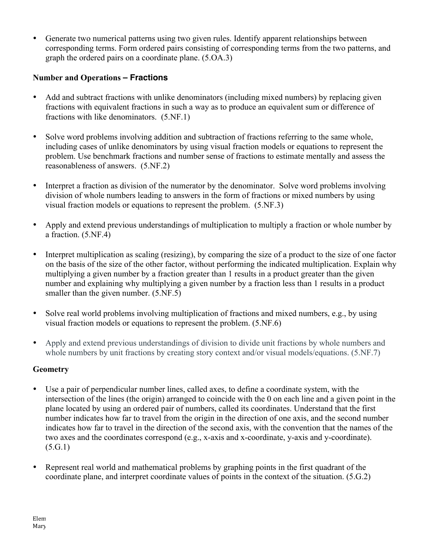• Generate two numerical patterns using two given rules. Identify apparent relationships between corresponding terms. Form ordered pairs consisting of corresponding terms from the two patterns, and graph the ordered pairs on a coordinate plane. (5.OA.3)

## **Number and Operations – Fractions**

- Add and subtract fractions with unlike denominators (including mixed numbers) by replacing given fractions with equivalent fractions in such a way as to produce an equivalent sum or difference of fractions with like denominators. (5.NF.1)
- Solve word problems involving addition and subtraction of fractions referring to the same whole, including cases of unlike denominators by using visual fraction models or equations to represent the problem. Use benchmark fractions and number sense of fractions to estimate mentally and assess the reasonableness of answers. (5.NF.2)
- Interpret a fraction as division of the numerator by the denominator. Solve word problems involving division of whole numbers leading to answers in the form of fractions or mixed numbers by using visual fraction models or equations to represent the problem. (5.NF.3)
- Apply and extend previous understandings of multiplication to multiply a fraction or whole number by a fraction. (5.NF.4)
- Interpret multiplication as scaling (resizing), by comparing the size of a product to the size of one factor on the basis of the size of the other factor, without performing the indicated multiplication. Explain why multiplying a given number by a fraction greater than 1 results in a product greater than the given number and explaining why multiplying a given number by a fraction less than 1 results in a product smaller than the given number.  $(5.\text{NF}.5)$
- Solve real world problems involving multiplication of fractions and mixed numbers, e.g., by using visual fraction models or equations to represent the problem. (5.NF.6)
- Apply and extend previous understandings of division to divide unit fractions by whole numbers and whole numbers by unit fractions by creating story context and/or visual models/equations. (5.NF.7)

### **Geometry**

- Use a pair of perpendicular number lines, called axes, to define a coordinate system, with the intersection of the lines (the origin) arranged to coincide with the 0 on each line and a given point in the plane located by using an ordered pair of numbers, called its coordinates. Understand that the first number indicates how far to travel from the origin in the direction of one axis, and the second number indicates how far to travel in the direction of the second axis, with the convention that the names of the two axes and the coordinates correspond (e.g., x-axis and x-coordinate, y-axis and y-coordinate).  $(5.G.1)$
- Represent real world and mathematical problems by graphing points in the first quadrant of the coordinate plane, and interpret coordinate values of points in the context of the situation. (5.G.2)